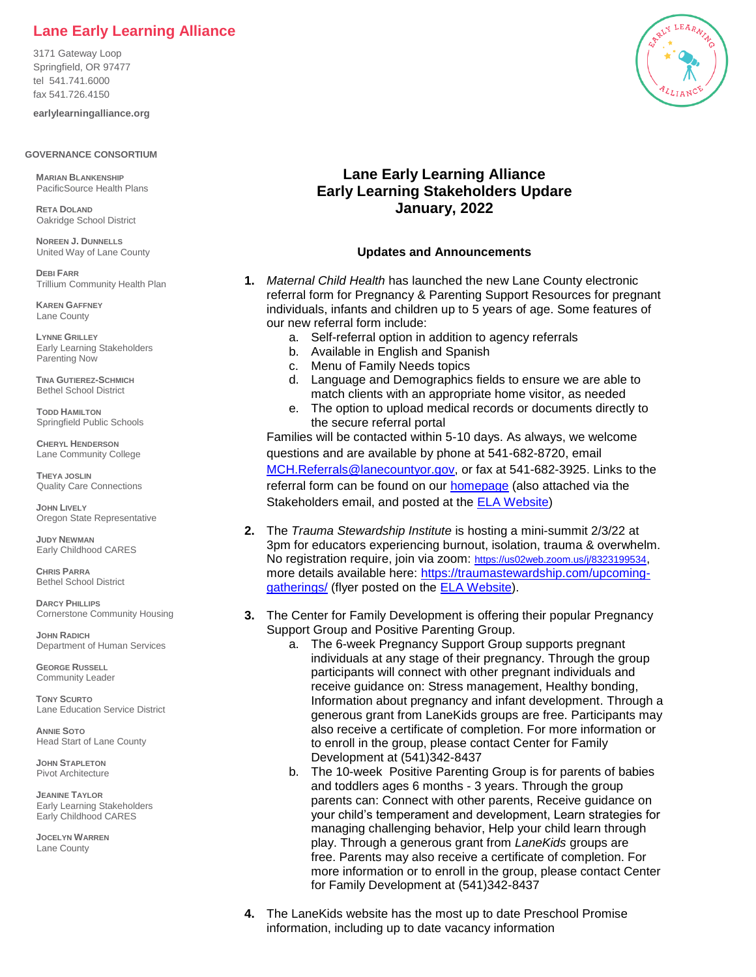## **Lane Early Learning Alliance**

3171 Gateway Loop Springfield, OR 97477 tel 541.741.6000 fax 541.726.4150

**earlylearningalliance.org**

## **GOVERNANCE CONSORTIUM**

**MARIAN BLANKENSHIP**  PacificSource Health Plans

**RETA DOLAND** Oakridge School District

**NOREEN J. DUNNELLS** United Way of Lane County

**DEBI FARR** Trillium Community Health Plan

**KAREN GAFFNEY** Lane County

**LYNNE GRILLEY** Early Learning Stakeholders Parenting Now

**TINA GUTIEREZ-SCHMICH**  Bethel School District

**TODD HAMILTON** Springfield Public Schools

**CHERYL HENDERSON** Lane Community College

**THEYA JOSLIN** Quality Care Connections

**JOHN LIVELY** Oregon State Representative

**JUDY NEWMAN** Early Childhood CARES

**CHRIS PARRA** Bethel School District

**DARCY PHILLIPS** Cornerstone Community Housing

**JOHN RADICH** Department of Human Services

**GEORGE RUSSELL** Community Leader

**TONY SCURTO** Lane Education Service District

**ANNIE SOTO** Head Start of Lane County

**JOHN STAPLETON** Pivot Architecture

**JEANINE TAYLOR** Early Learning Stakeholders Early Childhood CARES

**JOCELYN WARREN** Lane County



## **Lane Early Learning Alliance Early Learning Stakeholders Updare January, 2022**

## **Updates and Announcements**

- **1.** *Maternal Child Health* has launched the new Lane County electronic referral form for Pregnancy & Parenting Support Resources for pregnant individuals, infants and children up to 5 years of age. Some features of our new referral form include:
	- a. Self-referral option in addition to agency referrals
	- b. Available in English and Spanish
	- c. Menu of Family Needs topics
	- d. Language and Demographics fields to ensure we are able to match clients with an appropriate home visitor, as needed
	- e. The option to upload medical records or documents directly to the secure referral portal

Families will be contacted within 5-10 days. As always, we welcome questions and are available by phone at 541-682-8720, email [MCH.Referrals@lanecountyor.gov,](mailto:MCH.Referrals@lanecountyor.gov) or fax at 541-682-3925. Links to the referral form can be found on our **homepage** (also attached via the Stakeholders email, and posted at the [ELA Website\)](https://earlylearningalliance.org/early-learning-stakeholders/)

- **2.** The *Trauma Stewardship Institute* is hosting a mini-summit 2/3/22 at 3pm for educators experiencing burnout, isolation, trauma & overwhelm. No registration require, join via zoom: <https://us02web.zoom.us/j/8323199534>, more details available here: [https://traumastewardship.com/upcoming](https://traumastewardship.com/upcoming-gatherings/)[gatherings/](https://traumastewardship.com/upcoming-gatherings/) (flyer posted on the [ELA Website\)](https://earlylearningalliance.org/early-learning-stakeholders/).
- **3.** The Center for Family Development is offering their popular Pregnancy Support Group and Positive Parenting Group.
	- a. The 6-week Pregnancy Support Group supports pregnant individuals at any stage of their pregnancy. Through the group participants will connect with other pregnant individuals and receive guidance on: Stress management, Healthy bonding, Information about pregnancy and infant development. Through a generous grant from LaneKids groups are free. Participants may also receive a certificate of completion. For more information or to enroll in the group, please contact Center for Family Development at (541)342-8437
	- b. The 10-week Positive Parenting Group is for parents of babies and toddlers ages 6 months - 3 years. Through the group parents can: Connect with other parents, Receive guidance on your child's temperament and development, Learn strategies for managing challenging behavior, Help your child learn through play. Through a generous grant from *LaneKids* groups are free. Parents may also receive a certificate of completion. For more information or to enroll in the group, please contact Center for Family Development at (541)342-8437
- **4.** The LaneKids website has the most up to date Preschool Promise information, including up to date vacancy information